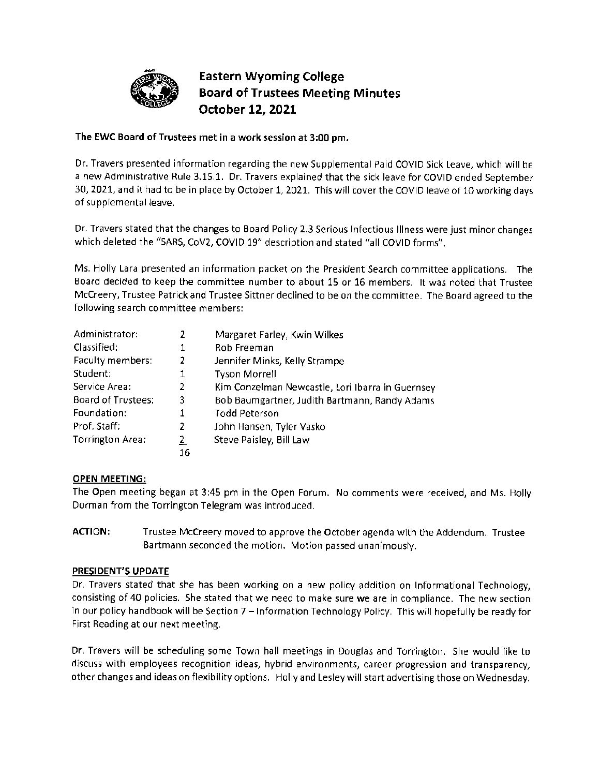

# - **Eastern Wyoming College**  • **Board of Trustees Meeting Minutes October 121 2021**

# **The EWC Board of Trustees met in a work session at 3:00 pm.**

Dr. Travers presented information regarding the new Supplemental Paid COVID Sick Leave, which will be a new Administrative Rule 3.15.1. Dr. Travers explained that the sick leave for COVID ended September 30, 2021, and it had to be in place by October 1, 2021. This will cover the COVID leave of 10working days of supplemental leave.

Dr. Travers stated that the changes to Board Policy 2.3 Serious Infectious Illness were just minor changes which deleted the "SARS, CoV2, COVID 19" description and stated "all COVID forms".

Ms. Holly Lara presented an information packet on the President Search committee applications. The Board decided to keep the committee number to about 15 or 16 members. It was noted that Trustee Mccreery, Trustee Patrick and Trustee Sittner declined to be on the committee. The Board agreed to the following search committee members:

| Administrator:     | 2  | Margaret Farley, Kwin Wilkes                     |
|--------------------|----|--------------------------------------------------|
| Classified:        | 1  | Rob Freeman                                      |
| Faculty members:   | 2  | Jennifer Minks, Kelly Strampe                    |
| Student:           | 1  | <b>Tyson Morrell</b>                             |
| Service Area:      | 2  | Kim Conzelman Newcastle, Lori Ibarra in Guernsey |
| Board of Trustees: | 3  | Bob Baumgartner, Judith Bartmann, Randy Adams    |
| Foundation:        |    | <b>Todd Peterson</b>                             |
| Prof. Staff:       | 2  | John Hansen, Tyler Vasko                         |
| Torrington Area:   | 2  | Steve Paisley, Bill Law                          |
|                    | 16 |                                                  |

# **OPEN MEETING:**

The Open meeting began at 3:45 pm in the Open Forum. No comments were received, and Ms. Holly Dorman from the Torrington Telegram was introduced.

**ACTION:** Trustee Mccreery moved to approve the October agenda with the Addendum. Trustee Bartmann seconded the motion. Motion passed unanimously.

# **PRESIDENT'S UPDATE**

Dr. Travers stated that she has been working on a new policy addition on Informational Technology, consisting of 40 policies. She stated that we need to make sure we are in compliance. The new section in our policy handbook will be Section 7 - Information Technology Policy. This will hopefully be ready for First Reading at our next meeting.

Dr. Travers will be scheduling some Town hall meetings in Douglas and Torrington. She would like to discuss with employees recognition ideas, hybrid environments, career progression and transparency, other changes and ideas on flexibility options. Holly and Lesley will start advertising those on Wednesday.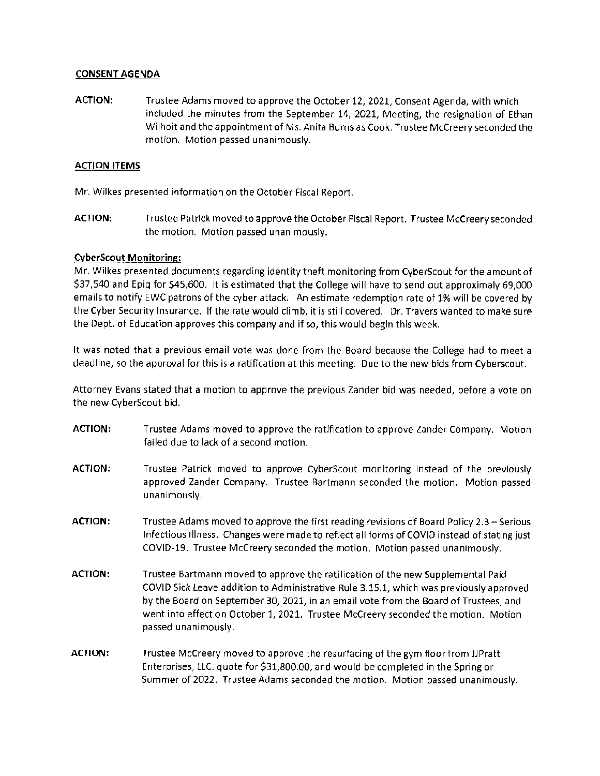#### **CONSENT AGENDA**

**ACTION:** Trustee Adams moved to approve the October 12, 2021, Consent Agenda, with which included the minutes from the September 14, 2021, Meeting, the resignation of Ethan Wilhoit and the appointment of Ms. Anita Burns as Cook. Trustee Mccreery seconded the motion. Motion passed unanimously.

# **ACTION ITEMS**

Mr. Wilkes presented information on the October Fiscal Report.

**ACTION:** Trustee Patrick moved to approve the October Fiscal Report. Trustee Mccreery seconded the motion. Motion passed unanimously.

#### **CyberScout Monitoring:**

Mr. Wilkes presented documents regarding identity theft monitoring from CyberScout for the amount of \$37,540 and Epiq for \$45,600. It is estimated that the College will have to send out approximaly 69,000 emails to notify EWC patrons of the cyber attack. An estimate redemption rate of 1% will be covered by the Cyber Security Insurance. If the rate would climb, it is still covered. Dr. Travers wanted to make sure the Dept. of Education approves this company and if so, this would begin this week.

It was noted that a previous email vote was done from the Board because the College had to meet a deadline, so the approval for this is a ratification at this meeting. Due to the new bids from Cyberscout.

Attorney Evans stated that a motion to approve the previous Zander bid was needed, before a vote on the new CyberScout bid.

- **ACTION:** Trustee Adams moved to approve the ratification to approve Zander Company. Motion failed due to lack of a second motion.
- **ACTION:** Trustee Patrick moved to approve CyberScout monitoring instead of the previously approved Zander Company. Trustee Bartmann seconded the motion. Motion passed unanimously.
- ACTION: Trustee Adams moved to approve the first reading revisions of Board Policy 2.3 Serious Infectious Illness. Changes were made to reflect all forms of COVID instead of stating just COVID-19. Trustee Mccreery seconded the motion. Motion passed unanimously.
- **ACTION:** Trustee Bartmann moved to approve the ratification of the new Supplemental Paid COVID Sick Leave addition to Administrative Rule 3.15.1, which was previously approved by the Board on September 30, 2021, in an email vote from the Board of Trustees, and went into effect on October 1, 2021. Trustee Mccreery seconded the motion. Motion passed unanimously.
- ACTION: Trustee McCreery moved to approve the resurfacing of the gym floor from JJPratt Enterprises, LLC. quote for \$[31,800.00](https://31,800.00), and would be completed in the Spring or Summer of 2022. Trustee Adams seconded the motion. Motion passed unanimously.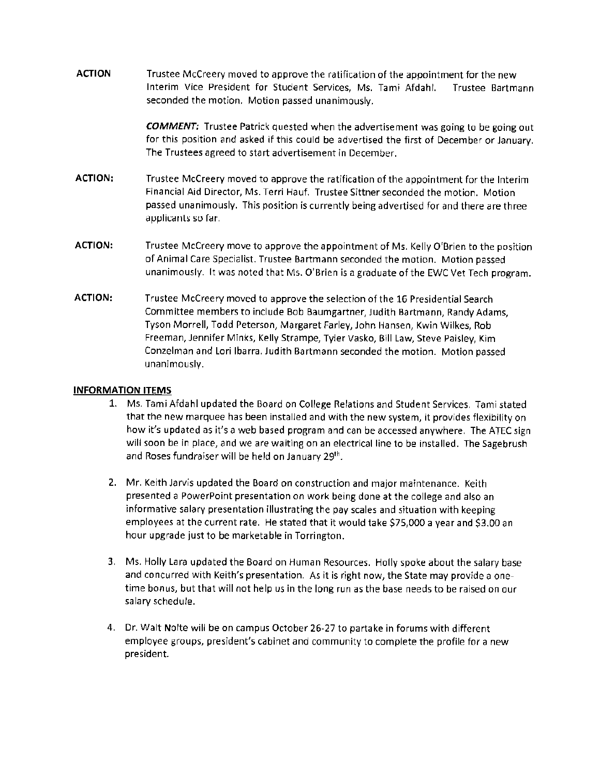**ACTION** Trustee Mccreery moved to approve the ratification of the appointment for the new Interim Vice President for Student Services, Ms. Tami Afdahl. Trustee Bartmann seconded the motion. Motion passed unanimously.

> *COMMENT:* Trustee Patrick quested when the advertisement was going to be going out for this position and asked if this could be advertised the first of December or January. The Trustees agreed to start advertisement in December.

- **ACTION:** Trustee Mccreery moved to approve the ratification of the appointment for the Interim Financial Aid Director, Ms. Terri Hauf. Trustee Sittner seconded the motion. Motion passed unanimously. This position is currently being advertised for and there are three applicants so far.
- **ACTION:** Trustee Mccreery move to approve the appointment of Ms. Kelly O'Brien to the position of Animal Care Specialist. Trustee Bartmann seconded the motion. Motion passed unanimously. It was noted that Ms. O'Brien is a graduate of the EWC Vet Tech program.
- **ACTION:** Trustee Mccreery moved to approve the selection of the 16 Presidential Search Committee members to include Bob Baumgartner, Judith Bartmann, Randy Adams, Tyson Morrell, Todd Peterson, Margaret Farley, John Hansen, Kwin Wilkes, Rob Freeman, Jennifer Minks, Kelly Strampe, Tyler Vasko, Bill Law, Steve Paisley, Kim Conzelman and Lori Ibarra. Judith Bartmann seconded the motion. Motion passed unanimously.

#### **INFORMATION ITEMS**

- 1. Ms. Tami Afdahl updated the Board on College Relations and Student Services. Tami stated that the new marquee has been installed and with the new system, it provides flexibility on how it's updated as it's a web based program and can be accessed anywhere. The ATEC sign will soon be in place, and we are waiting on an electrical line to be installed. The Sagebrush and Roses fundraiser will be held on January  $29<sup>th</sup>$ .
- 2. Mr. Keith Jarvis updated the Board on construction and major maintenance. Keith presented a PowerPoint presentation on work being done at the college and also an informative salary presentation illustrating the pay scales and situation with keeping employees at the current rate. He stated that it would take \$75,000 a year and \$3.00 an hour upgrade just to be marketable in Torrington.
- 3. Ms. Holly Lara updated the Board on Human Resources. Holly spoke about the salary base and concurred with Keith's presentation. As it is right now, the State may provide a onetime bonus, but that will not help us in the long run as the base needs to be raised on our salary schedule.
- 4. Dr. Walt Nolte will be on campus October 26-27 to partake in forums with different employee groups, president's cabinet and community to complete the profile for a new president.